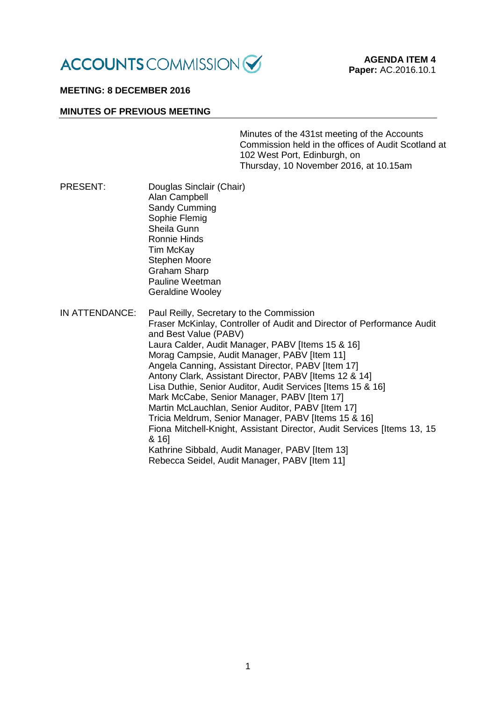

## **MEETING: 8 DECEMBER 2016**

#### **MINUTES OF PREVIOUS MEETING**

Minutes of the 431st meeting of the Accounts Commission held in the offices of Audit Scotland at 102 West Port, Edinburgh, on Thursday, 10 November 2016, at 10.15am

- PRESENT: Douglas Sinclair (Chair) Alan Campbell Sandy Cumming Sophie Flemig Sheila Gunn Ronnie Hinds Tim McKay Stephen Moore Graham Sharp Pauline Weetman Geraldine Wooley
- IN ATTENDANCE: Paul Reilly, Secretary to the Commission Fraser McKinlay, Controller of Audit and Director of Performance Audit and Best Value (PABV) Laura Calder, Audit Manager, PABV [Items 15 & 16] Morag Campsie, Audit Manager, PABV [Item 11] Angela Canning, Assistant Director, PABV [Item 17] Antony Clark, Assistant Director, PABV [Items 12 & 14] Lisa Duthie, Senior Auditor, Audit Services [Items 15 & 16] Mark McCabe, Senior Manager, PABV [Item 17] Martin McLauchlan, Senior Auditor, PABV IItem 171 Tricia Meldrum, Senior Manager, PABV [Items 15 & 16] Fiona Mitchell-Knight, Assistant Director, Audit Services [Items 13, 15 & 16] Kathrine Sibbald, Audit Manager, PABV [Item 13] Rebecca Seidel, Audit Manager, PABV [Item 11]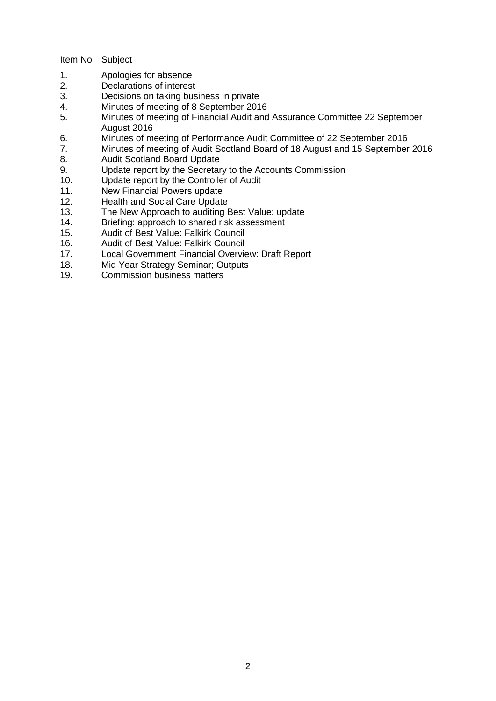# Item No Subject

- 1. Apologies for absence<br>2. Declarations of interest
- Declarations of interest
- 3. Decisions on taking business in private<br>4 Minutes of meeting of 8 September 201
- Minutes of meeting of 8 September 2016
- 5. Minutes of meeting of Financial Audit and Assurance Committee 22 September August 2016
- 6. Minutes of meeting of Performance Audit Committee of 22 September 2016
- 7. Minutes of meeting of Audit Scotland Board of 18 August and 15 September 2016<br>8. Audit Scotland Board Update
- 8. Audit Scotland Board Update<br>9. Update report by the Secretar
- Update report by the Secretary to the Accounts Commission
- 10. Update report by the Controller of Audit<br>11. New Financial Powers update
- New Financial Powers update
- 12. Health and Social Care Update
- 13. The New Approach to auditing Best Value: update
- 14. Briefing: approach to shared risk assessment<br>15. Audit of Best Value: Falkirk Council
- 15. Audit of Best Value: Falkirk Council<br>16. Audit of Best Value: Falkirk Council
- 16. Audit of Best Value: Falkirk Council<br>17. Local Government Financial Overvie
- Local Government Financial Overview: Draft Report
- 18. Mid Year Strategy Seminar; Outputs
- 19. Commission business matters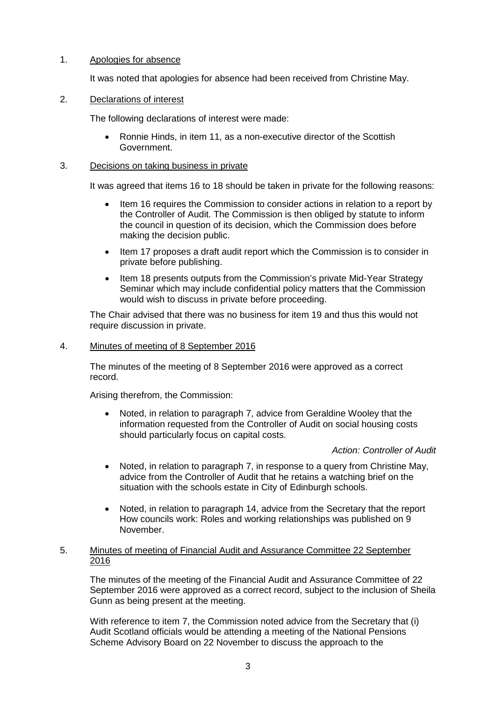# 1. Apologies for absence

It was noted that apologies for absence had been received from Christine May.

# 2. Declarations of interest

The following declarations of interest were made:

• Ronnie Hinds, in item 11, as a non-executive director of the Scottish Government.

# 3. Decisions on taking business in private

It was agreed that items 16 to 18 should be taken in private for the following reasons:

- Item 16 requires the Commission to consider actions in relation to a report by the Controller of Audit. The Commission is then obliged by statute to inform the council in question of its decision, which the Commission does before making the decision public.
- Item 17 proposes a draft audit report which the Commission is to consider in private before publishing.
- Item 18 presents outputs from the Commission's private Mid-Year Strategy Seminar which may include confidential policy matters that the Commission would wish to discuss in private before proceeding.

The Chair advised that there was no business for item 19 and thus this would not require discussion in private.

## 4. Minutes of meeting of 8 September 2016

The minutes of the meeting of 8 September 2016 were approved as a correct record.

Arising therefrom, the Commission:

• Noted, in relation to paragraph 7, advice from Geraldine Wooley that the information requested from the Controller of Audit on social housing costs should particularly focus on capital costs.

## *Action: Controller of Audit*

- Noted, in relation to paragraph 7, in response to a query from Christine May, advice from the Controller of Audit that he retains a watching brief on the situation with the schools estate in City of Edinburgh schools.
- Noted, in relation to paragraph 14, advice from the Secretary that the report How councils work: Roles and working relationships was published on 9 November.

## 5. Minutes of meeting of Financial Audit and Assurance Committee 22 September 2016

The minutes of the meeting of the Financial Audit and Assurance Committee of 22 September 2016 were approved as a correct record, subject to the inclusion of Sheila Gunn as being present at the meeting.

With reference to item 7, the Commission noted advice from the Secretary that (i) Audit Scotland officials would be attending a meeting of the National Pensions Scheme Advisory Board on 22 November to discuss the approach to the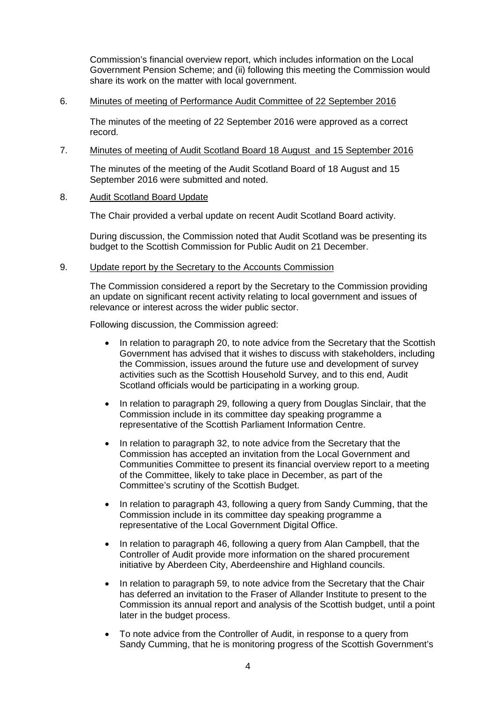Commission's financial overview report, which includes information on the Local Government Pension Scheme; and (ii) following this meeting the Commission would share its work on the matter with local government.

### 6. Minutes of meeting of Performance Audit Committee of 22 September 2016

The minutes of the meeting of 22 September 2016 were approved as a correct record.

### 7. Minutes of meeting of Audit Scotland Board 18 August and 15 September 2016

The minutes of the meeting of the Audit Scotland Board of 18 August and 15 September 2016 were submitted and noted.

### 8. Audit Scotland Board Update

The Chair provided a verbal update on recent Audit Scotland Board activity.

During discussion, the Commission noted that Audit Scotland was be presenting its budget to the Scottish Commission for Public Audit on 21 December.

### 9. Update report by the Secretary to the Accounts Commission

The Commission considered a report by the Secretary to the Commission providing an update on significant recent activity relating to local government and issues of relevance or interest across the wider public sector.

Following discussion, the Commission agreed:

- In relation to paragraph 20, to note advice from the Secretary that the Scottish Government has advised that it wishes to discuss with stakeholders, including the Commission, issues around the future use and development of survey activities such as the Scottish Household Survey, and to this end, Audit Scotland officials would be participating in a working group.
- In relation to paragraph 29, following a query from Douglas Sinclair, that the Commission include in its committee day speaking programme a representative of the Scottish Parliament Information Centre.
- In relation to paragraph 32, to note advice from the Secretary that the Commission has accepted an invitation from the Local Government and Communities Committee to present its financial overview report to a meeting of the Committee, likely to take place in December, as part of the Committee's scrutiny of the Scottish Budget.
- In relation to paragraph 43, following a query from Sandy Cumming, that the Commission include in its committee day speaking programme a representative of the Local Government Digital Office.
- In relation to paragraph 46, following a query from Alan Campbell, that the Controller of Audit provide more information on the shared procurement initiative by Aberdeen City, Aberdeenshire and Highland councils.
- In relation to paragraph 59, to note advice from the Secretary that the Chair has deferred an invitation to the Fraser of Allander Institute to present to the Commission its annual report and analysis of the Scottish budget, until a point later in the budget process.
- To note advice from the Controller of Audit, in response to a query from Sandy Cumming, that he is monitoring progress of the Scottish Government's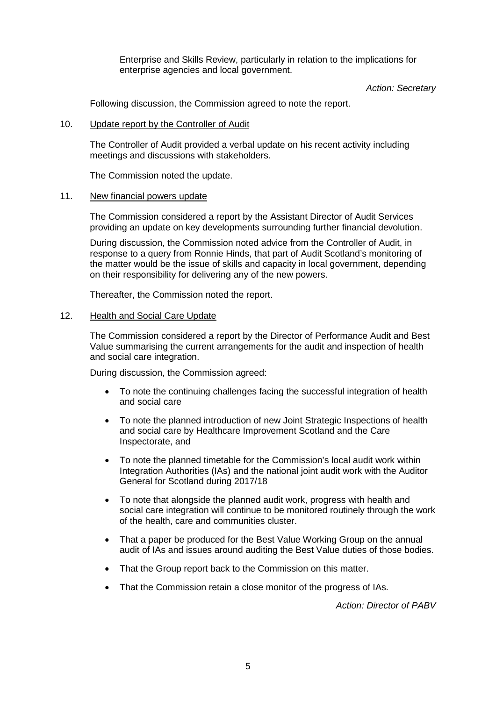Enterprise and Skills Review, particularly in relation to the implications for enterprise agencies and local government.

*Action: Secretary* 

Following discussion, the Commission agreed to note the report.

### 10. Update report by the Controller of Audit

The Controller of Audit provided a verbal update on his recent activity including meetings and discussions with stakeholders.

The Commission noted the update.

#### 11. New financial powers update

The Commission considered a report by the Assistant Director of Audit Services providing an update on key developments surrounding further financial devolution.

During discussion, the Commission noted advice from the Controller of Audit, in response to a query from Ronnie Hinds, that part of Audit Scotland's monitoring of the matter would be the issue of skills and capacity in local government, depending on their responsibility for delivering any of the new powers.

Thereafter, the Commission noted the report.

#### 12. Health and Social Care Update

The Commission considered a report by the Director of Performance Audit and Best Value summarising the current arrangements for the audit and inspection of health and social care integration.

During discussion, the Commission agreed:

- To note the continuing challenges facing the successful integration of health and social care
- To note the planned introduction of new Joint Strategic Inspections of health and social care by Healthcare Improvement Scotland and the Care Inspectorate, and
- To note the planned timetable for the Commission's local audit work within Integration Authorities (IAs) and the national joint audit work with the Auditor General for Scotland during 2017/18
- To note that alongside the planned audit work, progress with health and social care integration will continue to be monitored routinely through the work of the health, care and communities cluster.
- That a paper be produced for the Best Value Working Group on the annual audit of IAs and issues around auditing the Best Value duties of those bodies.
- That the Group report back to the Commission on this matter.
- That the Commission retain a close monitor of the progress of IAs.

*Action: Director of PABV*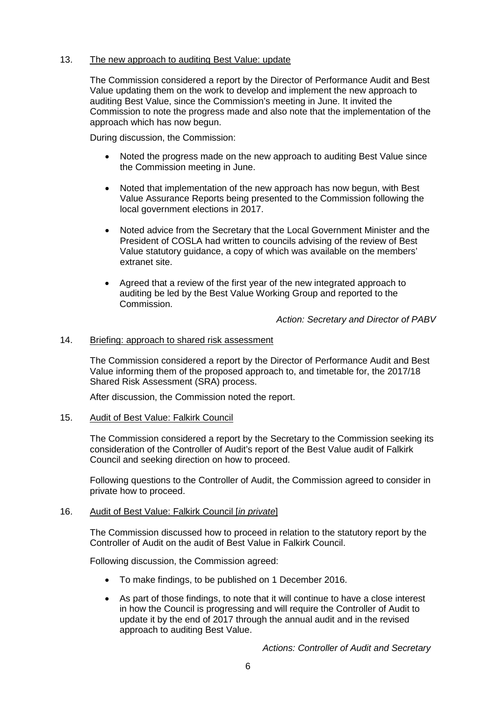# 13. The new approach to auditing Best Value: update

The Commission considered a report by the Director of Performance Audit and Best Value updating them on the work to develop and implement the new approach to auditing Best Value, since the Commission's meeting in June. It invited the Commission to note the progress made and also note that the implementation of the approach which has now begun.

During discussion, the Commission:

- Noted the progress made on the new approach to auditing Best Value since the Commission meeting in June.
- Noted that implementation of the new approach has now begun, with Best Value Assurance Reports being presented to the Commission following the local government elections in 2017.
- Noted advice from the Secretary that the Local Government Minister and the President of COSLA had written to councils advising of the review of Best Value statutory guidance, a copy of which was available on the members' extranet site.
- Agreed that a review of the first year of the new integrated approach to auditing be led by the Best Value Working Group and reported to the Commission.

*Action: Secretary and Director of PABV*

### 14. Briefing: approach to shared risk assessment

The Commission considered a report by the Director of Performance Audit and Best Value informing them of the proposed approach to, and timetable for, the 2017/18 Shared Risk Assessment (SRA) process.

After discussion, the Commission noted the report.

### 15. Audit of Best Value: Falkirk Council

The Commission considered a report by the Secretary to the Commission seeking its consideration of the Controller of Audit's report of the Best Value audit of Falkirk Council and seeking direction on how to proceed.

Following questions to the Controller of Audit, the Commission agreed to consider in private how to proceed.

### 16. Audit of Best Value: Falkirk Council [*in private*]

The Commission discussed how to proceed in relation to the statutory report by the Controller of Audit on the audit of Best Value in Falkirk Council.

Following discussion, the Commission agreed:

- To make findings, to be published on 1 December 2016.
- As part of those findings, to note that it will continue to have a close interest in how the Council is progressing and will require the Controller of Audit to update it by the end of 2017 through the annual audit and in the revised approach to auditing Best Value.

*Actions: Controller of Audit and Secretary*